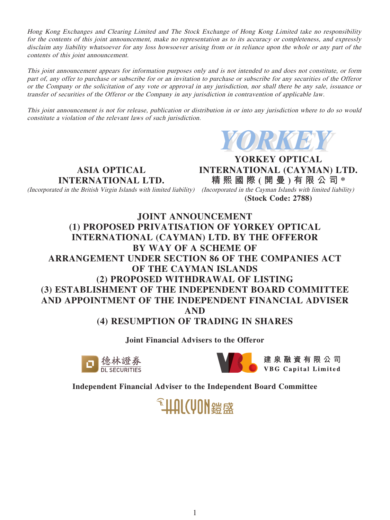Hong Kong Exchanges and Clearing Limited and The Stock Exchange of Hong Kong Limited take no responsibility for the contents of this joint announcement, make no representation as to its accuracy or completeness, and expressly disclaim any liability whatsoever for any loss howsoever arising from or in reliance upon the whole or any part of the contents of this joint announcement.

This joint announcement appears for information purposes only and is not intended to and does not constitute, or form part of, any offer to purchase or subscribe for or an invitation to purchase or subscribe for any securities of the Offeror or the Company or the solicitation of any vote or approval in any jurisdiction, nor shall there be any sale, issuance or transfer of securities of the Offeror or the Company in any jurisdiction in contravention of applicable law.

This joint announcement is not for release, publication or distribution in or into any jurisdiction where to do so would constitute a violation of the relevant laws of such jurisdiction.



**ASIA OPTICAL INTERNATIONAL LTD.**

**YORKEY OPTICAL INTERNATIONAL (CAYMAN) LTD. 精熙國際 ( 開 曼 ) 有限公司 \*** (Incorporated in the British Virgin Islands with limited liability) (Incorporated in the Cayman Islands with limited liability) **(Stock Code: 2788)**

**JOINT ANNOUNCEMENT (1) PROPOSED PRIVATISATION OF YORKEY OPTICAL INTERNATIONAL (CAYMAN) LTD. BY THE OFFEROR BY WAY OF A SCHEME OF ARRANGEMENT UNDER SECTION 86 OF THE COMPANIES ACT OF THE CAYMAN ISLANDS (2) PROPOSED WITHDRAWAL OF LISTING (3) ESTABLISHMENT OF THE INDEPENDENT BOARD COMMITTEE AND APPOINTMENT OF THE INDEPENDENT FINANCIAL ADVISER AND (4) RESUMPTION OF TRADING IN SHARES**

**Joint Financial Advisers to the Offeror**





建泉融資有限公司 **VBG** Capital Limited

**Independent Financial Adviser to the Independent Board Committee**

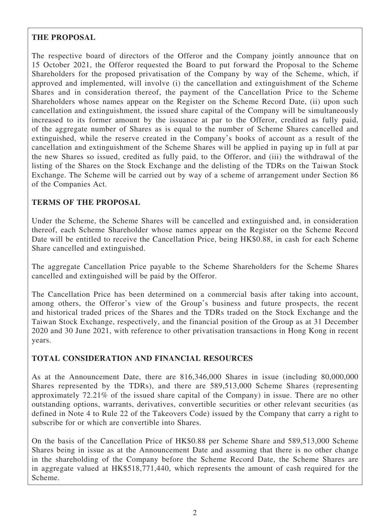# **THE PROPOSAL**

The respective board of directors of the Offeror and the Company jointly announce that on 15 October 2021, the Offeror requested the Board to put forward the Proposal to the Scheme Shareholders for the proposed privatisation of the Company by way of the Scheme, which, if approved and implemented, will involve (i) the cancellation and extinguishment of the Scheme Shares and in consideration thereof, the payment of the Cancellation Price to the Scheme Shareholders whose names appear on the Register on the Scheme Record Date, (ii) upon such cancellation and extinguishment, the issued share capital of the Company will be simultaneously increased to its former amount by the issuance at par to the Offeror, credited as fully paid, of the aggregate number of Shares as is equal to the number of Scheme Shares cancelled and extinguished, while the reserve created in the Company's books of account as a result of the cancellation and extinguishment of the Scheme Shares will be applied in paying up in full at par the new Shares so issued, credited as fully paid, to the Offeror, and (iii) the withdrawal of the listing of the Shares on the Stock Exchange and the delisting of the TDRs on the Taiwan Stock Exchange. The Scheme will be carried out by way of a scheme of arrangement under Section 86 of the Companies Act.

# **TERMS OF THE PROPOSAL**

Under the Scheme, the Scheme Shares will be cancelled and extinguished and, in consideration thereof, each Scheme Shareholder whose names appear on the Register on the Scheme Record Date will be entitled to receive the Cancellation Price, being HK\$0.88, in cash for each Scheme Share cancelled and extinguished.

The aggregate Cancellation Price payable to the Scheme Shareholders for the Scheme Shares cancelled and extinguished will be paid by the Offeror.

The Cancellation Price has been determined on a commercial basis after taking into account, among others, the Offeror's view of the Group's business and future prospects, the recent and historical traded prices of the Shares and the TDRs traded on the Stock Exchange and the Taiwan Stock Exchange, respectively, and the financial position of the Group as at 31 December 2020 and 30 June 2021, with reference to other privatisation transactions in Hong Kong in recent years.

# **TOTAL CONSIDERATION AND FINANCIAL RESOURCES**

As at the Announcement Date, there are 816,346,000 Shares in issue (including 80,000,000 Shares represented by the TDRs), and there are 589,513,000 Scheme Shares (representing approximately 72.21% of the issued share capital of the Company) in issue. There are no other outstanding options, warrants, derivatives, convertible securities or other relevant securities (as defined in Note 4 to Rule 22 of the Takeovers Code) issued by the Company that carry a right to subscribe for or which are convertible into Shares.

On the basis of the Cancellation Price of HK\$0.88 per Scheme Share and 589,513,000 Scheme Shares being in issue as at the Announcement Date and assuming that there is no other change in the shareholding of the Company before the Scheme Record Date, the Scheme Shares are in aggregate valued at HK\$518,771,440, which represents the amount of cash required for the Scheme.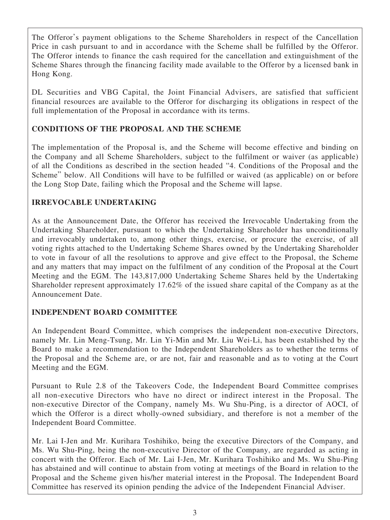The Offeror's payment obligations to the Scheme Shareholders in respect of the Cancellation Price in cash pursuant to and in accordance with the Scheme shall be fulfilled by the Offeror. The Offeror intends to finance the cash required for the cancellation and extinguishment of the Scheme Shares through the financing facility made available to the Offeror by a licensed bank in Hong Kong.

DL Securities and VBG Capital, the Joint Financial Advisers, are satisfied that sufficient financial resources are available to the Offeror for discharging its obligations in respect of the full implementation of the Proposal in accordance with its terms.

# **CONDITIONS OF THE PROPOSAL AND THE SCHEME**

The implementation of the Proposal is, and the Scheme will become effective and binding on the Company and all Scheme Shareholders, subject to the fulfilment or waiver (as applicable) of all the Conditions as described in the section headed "4. Conditions of the Proposal and the Scheme" below. All Conditions will have to be fulfilled or waived (as applicable) on or before the Long Stop Date, failing which the Proposal and the Scheme will lapse.

## **IRREVOCABLE UNDERTAKING**

As at the Announcement Date, the Offeror has received the Irrevocable Undertaking from the Undertaking Shareholder, pursuant to which the Undertaking Shareholder has unconditionally and irrevocably undertaken to, among other things, exercise, or procure the exercise, of all voting rights attached to the Undertaking Scheme Shares owned by the Undertaking Shareholder to vote in favour of all the resolutions to approve and give effect to the Proposal, the Scheme and any matters that may impact on the fulfilment of any condition of the Proposal at the Court Meeting and the EGM. The 143,817,000 Undertaking Scheme Shares held by the Undertaking Shareholder represent approximately 17.62% of the issued share capital of the Company as at the Announcement Date.

# **INDEPENDENT BOARD COMMITTEE**

An Independent Board Committee, which comprises the independent non-executive Directors, namely Mr. Lin Meng-Tsung, Mr. Lin Yi-Min and Mr. Liu Wei-Li, has been established by the Board to make a recommendation to the Independent Shareholders as to whether the terms of the Proposal and the Scheme are, or are not, fair and reasonable and as to voting at the Court Meeting and the EGM.

Pursuant to Rule 2.8 of the Takeovers Code, the Independent Board Committee comprises all non-executive Directors who have no direct or indirect interest in the Proposal. The non-executive Director of the Company, namely Ms. Wu Shu-Ping, is a director of AOCI, of which the Offeror is a direct wholly-owned subsidiary, and therefore is not a member of the Independent Board Committee.

Mr. Lai I-Jen and Mr. Kurihara Toshihiko, being the executive Directors of the Company, and Ms. Wu Shu-Ping, being the non-executive Director of the Company, are regarded as acting in concert with the Offeror. Each of Mr. Lai I-Jen, Mr. Kurihara Toshihiko and Ms. Wu Shu-Ping has abstained and will continue to abstain from voting at meetings of the Board in relation to the Proposal and the Scheme given his/her material interest in the Proposal. The Independent Board Committee has reserved its opinion pending the advice of the Independent Financial Adviser.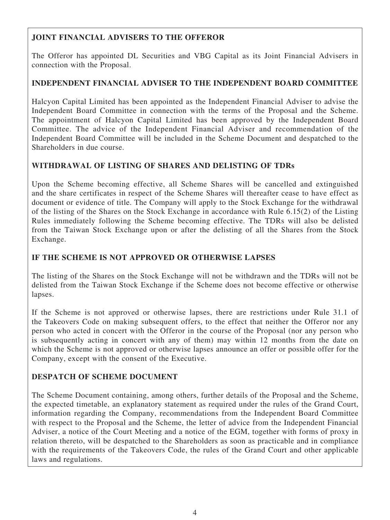# **JOINT FINANCIAL ADVISERS TO THE OFFEROR**

The Offeror has appointed DL Securities and VBG Capital as its Joint Financial Advisers in connection with the Proposal.

# **INDEPENDENT FINANCIAL ADVISER TO THE INDEPENDENT BOARD COMMITTEE**

Halcyon Capital Limited has been appointed as the Independent Financial Adviser to advise the Independent Board Committee in connection with the terms of the Proposal and the Scheme. The appointment of Halcyon Capital Limited has been approved by the Independent Board Committee. The advice of the Independent Financial Adviser and recommendation of the Independent Board Committee will be included in the Scheme Document and despatched to the Shareholders in due course.

# **WITHDRAWAL OF LISTING OF SHARES AND DELISTING OF TDRs**

Upon the Scheme becoming effective, all Scheme Shares will be cancelled and extinguished and the share certificates in respect of the Scheme Shares will thereafter cease to have effect as document or evidence of title. The Company will apply to the Stock Exchange for the withdrawal of the listing of the Shares on the Stock Exchange in accordance with Rule 6.15(2) of the Listing Rules immediately following the Scheme becoming effective. The TDRs will also be delisted from the Taiwan Stock Exchange upon or after the delisting of all the Shares from the Stock Exchange.

# **IF THE SCHEME IS NOT APPROVED OR OTHERWISE LAPSES**

The listing of the Shares on the Stock Exchange will not be withdrawn and the TDRs will not be delisted from the Taiwan Stock Exchange if the Scheme does not become effective or otherwise lapses.

If the Scheme is not approved or otherwise lapses, there are restrictions under Rule 31.1 of the Takeovers Code on making subsequent offers, to the effect that neither the Offeror nor any person who acted in concert with the Offeror in the course of the Proposal (nor any person who is subsequently acting in concert with any of them) may within 12 months from the date on which the Scheme is not approved or otherwise lapses announce an offer or possible offer for the Company, except with the consent of the Executive.

# **DESPATCH OF SCHEME DOCUMENT**

The Scheme Document containing, among others, further details of the Proposal and the Scheme, the expected timetable, an explanatory statement as required under the rules of the Grand Court, information regarding the Company, recommendations from the Independent Board Committee with respect to the Proposal and the Scheme, the letter of advice from the Independent Financial Adviser, a notice of the Court Meeting and a notice of the EGM, together with forms of proxy in relation thereto, will be despatched to the Shareholders as soon as practicable and in compliance with the requirements of the Takeovers Code, the rules of the Grand Court and other applicable laws and regulations.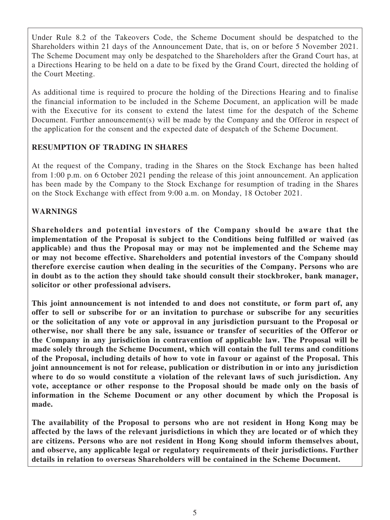Under Rule 8.2 of the Takeovers Code, the Scheme Document should be despatched to the Shareholders within 21 days of the Announcement Date, that is, on or before 5 November 2021. The Scheme Document may only be despatched to the Shareholders after the Grand Court has, at a Directions Hearing to be held on a date to be fixed by the Grand Court, directed the holding of the Court Meeting.

As additional time is required to procure the holding of the Directions Hearing and to finalise the financial information to be included in the Scheme Document, an application will be made with the Executive for its consent to extend the latest time for the despatch of the Scheme Document. Further announcement(s) will be made by the Company and the Offeror in respect of the application for the consent and the expected date of despatch of the Scheme Document.

## **RESUMPTION OF TRADING IN SHARES**

At the request of the Company, trading in the Shares on the Stock Exchange has been halted from 1:00 p.m. on 6 October 2021 pending the release of this joint announcement. An application has been made by the Company to the Stock Exchange for resumption of trading in the Shares on the Stock Exchange with effect from 9:00 a.m. on Monday, 18 October 2021.

## **WARNINGS**

**Shareholders and potential investors of the Company should be aware that the implementation of the Proposal is subject to the Conditions being fulfilled or waived (as applicable) and thus the Proposal may or may not be implemented and the Scheme may or may not become effective. Shareholders and potential investors of the Company should therefore exercise caution when dealing in the securities of the Company. Persons who are in doubt as to the action they should take should consult their stockbroker, bank manager, solicitor or other professional advisers.**

**This joint announcement is not intended to and does not constitute, or form part of, any offer to sell or subscribe for or an invitation to purchase or subscribe for any securities or the solicitation of any vote or approval in any jurisdiction pursuant to the Proposal or otherwise, nor shall there be any sale, issuance or transfer of securities of the Offeror or the Company in any jurisdiction in contravention of applicable law. The Proposal will be made solely through the Scheme Document, which will contain the full terms and conditions of the Proposal, including details of how to vote in favour or against of the Proposal. This joint announcement is not for release, publication or distribution in or into any jurisdiction where to do so would constitute a violation of the relevant laws of such jurisdiction. Any vote, acceptance or other response to the Proposal should be made only on the basis of information in the Scheme Document or any other document by which the Proposal is made.**

**The availability of the Proposal to persons who are not resident in Hong Kong may be affected by the laws of the relevant jurisdictions in which they are located or of which they are citizens. Persons who are not resident in Hong Kong should inform themselves about, and observe, any applicable legal or regulatory requirements of their jurisdictions. Further details in relation to overseas Shareholders will be contained in the Scheme Document.**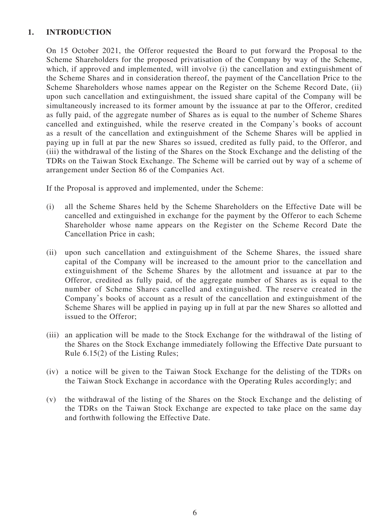## **1. INTRODUCTION**

On 15 October 2021, the Offeror requested the Board to put forward the Proposal to the Scheme Shareholders for the proposed privatisation of the Company by way of the Scheme, which, if approved and implemented, will involve (i) the cancellation and extinguishment of the Scheme Shares and in consideration thereof, the payment of the Cancellation Price to the Scheme Shareholders whose names appear on the Register on the Scheme Record Date, (ii) upon such cancellation and extinguishment, the issued share capital of the Company will be simultaneously increased to its former amount by the issuance at par to the Offeror, credited as fully paid, of the aggregate number of Shares as is equal to the number of Scheme Shares cancelled and extinguished, while the reserve created in the Company's books of account as a result of the cancellation and extinguishment of the Scheme Shares will be applied in paying up in full at par the new Shares so issued, credited as fully paid, to the Offeror, and (iii) the withdrawal of the listing of the Shares on the Stock Exchange and the delisting of the TDRs on the Taiwan Stock Exchange. The Scheme will be carried out by way of a scheme of arrangement under Section 86 of the Companies Act.

If the Proposal is approved and implemented, under the Scheme:

- (i) all the Scheme Shares held by the Scheme Shareholders on the Effective Date will be cancelled and extinguished in exchange for the payment by the Offeror to each Scheme Shareholder whose name appears on the Register on the Scheme Record Date the Cancellation Price in cash;
- (ii) upon such cancellation and extinguishment of the Scheme Shares, the issued share capital of the Company will be increased to the amount prior to the cancellation and extinguishment of the Scheme Shares by the allotment and issuance at par to the Offeror, credited as fully paid, of the aggregate number of Shares as is equal to the number of Scheme Shares cancelled and extinguished. The reserve created in the Company's books of account as a result of the cancellation and extinguishment of the Scheme Shares will be applied in paying up in full at par the new Shares so allotted and issued to the Offeror;
- (iii) an application will be made to the Stock Exchange for the withdrawal of the listing of the Shares on the Stock Exchange immediately following the Effective Date pursuant to Rule 6.15(2) of the Listing Rules;
- (iv) a notice will be given to the Taiwan Stock Exchange for the delisting of the TDRs on the Taiwan Stock Exchange in accordance with the Operating Rules accordingly; and
- (v) the withdrawal of the listing of the Shares on the Stock Exchange and the delisting of the TDRs on the Taiwan Stock Exchange are expected to take place on the same day and forthwith following the Effective Date.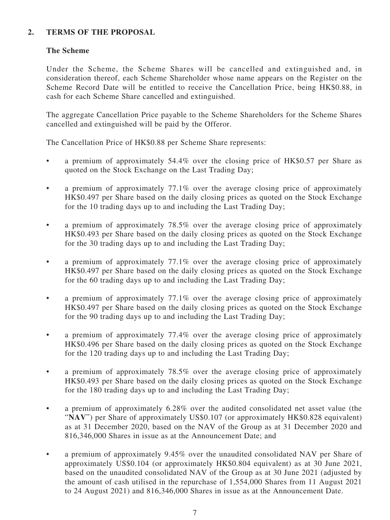## **2. TERMS OF THE PROPOSAL**

## **The Scheme**

Under the Scheme, the Scheme Shares will be cancelled and extinguished and, in consideration thereof, each Scheme Shareholder whose name appears on the Register on the Scheme Record Date will be entitled to receive the Cancellation Price, being HK\$0.88, in cash for each Scheme Share cancelled and extinguished.

The aggregate Cancellation Price payable to the Scheme Shareholders for the Scheme Shares cancelled and extinguished will be paid by the Offeror.

The Cancellation Price of HK\$0.88 per Scheme Share represents:

- a premium of approximately 54.4% over the closing price of HK\$0.57 per Share as quoted on the Stock Exchange on the Last Trading Day;
- a premium of approximately 77.1% over the average closing price of approximately HK\$0.497 per Share based on the daily closing prices as quoted on the Stock Exchange for the 10 trading days up to and including the Last Trading Day;
- a premium of approximately 78.5% over the average closing price of approximately HK\$0.493 per Share based on the daily closing prices as quoted on the Stock Exchange for the 30 trading days up to and including the Last Trading Day;
- a premium of approximately 77.1% over the average closing price of approximately HK\$0.497 per Share based on the daily closing prices as quoted on the Stock Exchange for the 60 trading days up to and including the Last Trading Day;
- a premium of approximately 77.1% over the average closing price of approximately HK\$0.497 per Share based on the daily closing prices as quoted on the Stock Exchange for the 90 trading days up to and including the Last Trading Day;
- a premium of approximately 77.4% over the average closing price of approximately HK\$0.496 per Share based on the daily closing prices as quoted on the Stock Exchange for the 120 trading days up to and including the Last Trading Day;
- a premium of approximately 78.5% over the average closing price of approximately HK\$0.493 per Share based on the daily closing prices as quoted on the Stock Exchange for the 180 trading days up to and including the Last Trading Day;
- a premium of approximately 6.28% over the audited consolidated net asset value (the "NAV") per Share of approximately US\$0.107 (or approximately HK\$0.828 equivalent) as at 31 December 2020, based on the NAV of the Group as at 31 December 2020 and 816,346,000 Shares in issue as at the Announcement Date; and
- a premium of approximately 9.45% over the unaudited consolidated NAV per Share of approximately US\$0.104 (or approximately HK\$0.804 equivalent) as at 30 June 2021, based on the unaudited consolidated NAV of the Group as at 30 June 2021 (adjusted by the amount of cash utilised in the repurchase of 1,554,000 Shares from 11 August 2021 to 24 August 2021) and 816,346,000 Shares in issue as at the Announcement Date.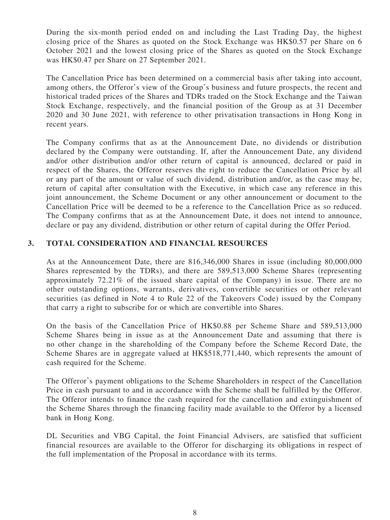During the six-month period ended on and including the Last Trading Day, the highest closing price of the Shares as quoted on the Stock Exchange was HK\$0.57 per Share on 6 October 2021 and the lowest closing price of the Shares as quoted on the Stock Exchange was HK\$0.47 per Share on 27 September 2021.

The Cancellation Price has been determined on a commercial basis after taking into account, among others, the Offeror's view of the Group's business and future prospects, the recent and historical traded prices of the Shares and TDRs traded on the Stock Exchange and the Taiwan Stock Exchange, respectively, and the financial position of the Group as at 31 December 2020 and 30 June 2021, with reference to other privatisation transactions in Hong Kong in recent years.

The Company confirms that as at the Announcement Date, no dividends or distribution declared by the Company were outstanding. If, after the Announcement Date, any dividend and/or other distribution and/or other return of capital is announced, declared or paid in respect of the Shares, the Offeror reserves the right to reduce the Cancellation Price by all or any part of the amount or value of such dividend, distribution and/or, as the case may be, return of capital after consultation with the Executive, in which case any reference in this joint announcement, the Scheme Document or any other announcement or document to the Cancellation Price will be deemed to be a reference to the Cancellation Price as so reduced. The Company confirms that as at the Announcement Date, it does not intend to announce, declare or pay any dividend, distribution or other return of capital during the Offer Period.

## **3. TOTAL CONSIDERATION AND FINANCIAL RESOURCES**

As at the Announcement Date, there are 816,346,000 Shares in issue (including 80,000,000 Shares represented by the TDRs), and there are 589,513,000 Scheme Shares (representing approximately 72.21% of the issued share capital of the Company) in issue. There are no other outstanding options, warrants, derivatives, convertible securities or other relevant securities (as defined in Note 4 to Rule 22 of the Takeovers Code) issued by the Company that carry a right to subscribe for or which are convertible into Shares.

On the basis of the Cancellation Price of HK\$0.88 per Scheme Share and 589,513,000 Scheme Shares being in issue as at the Announcement Date and assuming that there is no other change in the shareholding of the Company before the Scheme Record Date, the Scheme Shares are in aggregate valued at HK\$518,771,440, which represents the amount of cash required for the Scheme.

The Offeror's payment obligations to the Scheme Shareholders in respect of the Cancellation Price in cash pursuant to and in accordance with the Scheme shall be fulfilled by the Offeror. The Offeror intends to finance the cash required for the cancellation and extinguishment of the Scheme Shares through the financing facility made available to the Offeror by a licensed bank in Hong Kong.

DL Securities and VBG Capital, the Joint Financial Advisers, are satisfied that sufficient financial resources are available to the Offeror for discharging its obligations in respect of the full implementation of the Proposal in accordance with its terms.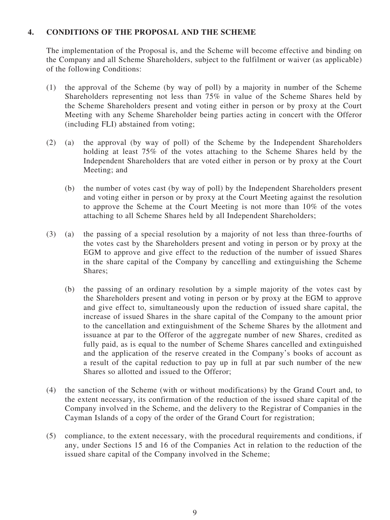## **4. CONDITIONS OF THE PROPOSAL AND THE SCHEME**

The implementation of the Proposal is, and the Scheme will become effective and binding on the Company and all Scheme Shareholders, subject to the fulfilment or waiver (as applicable) of the following Conditions:

- (1) the approval of the Scheme (by way of poll) by a majority in number of the Scheme Shareholders representing not less than 75% in value of the Scheme Shares held by the Scheme Shareholders present and voting either in person or by proxy at the Court Meeting with any Scheme Shareholder being parties acting in concert with the Offeror (including FLI) abstained from voting;
- (2) (a) the approval (by way of poll) of the Scheme by the Independent Shareholders holding at least 75% of the votes attaching to the Scheme Shares held by the Independent Shareholders that are voted either in person or by proxy at the Court Meeting; and
	- (b) the number of votes cast (by way of poll) by the Independent Shareholders present and voting either in person or by proxy at the Court Meeting against the resolution to approve the Scheme at the Court Meeting is not more than 10% of the votes attaching to all Scheme Shares held by all Independent Shareholders;
- (3) (a) the passing of a special resolution by a majority of not less than three-fourths of the votes cast by the Shareholders present and voting in person or by proxy at the EGM to approve and give effect to the reduction of the number of issued Shares in the share capital of the Company by cancelling and extinguishing the Scheme Shares;
	- (b) the passing of an ordinary resolution by a simple majority of the votes cast by the Shareholders present and voting in person or by proxy at the EGM to approve and give effect to, simultaneously upon the reduction of issued share capital, the increase of issued Shares in the share capital of the Company to the amount prior to the cancellation and extinguishment of the Scheme Shares by the allotment and issuance at par to the Offeror of the aggregate number of new Shares, credited as fully paid, as is equal to the number of Scheme Shares cancelled and extinguished and the application of the reserve created in the Company's books of account as a result of the capital reduction to pay up in full at par such number of the new Shares so allotted and issued to the Offeror;
- (4) the sanction of the Scheme (with or without modifications) by the Grand Court and, to the extent necessary, its confirmation of the reduction of the issued share capital of the Company involved in the Scheme, and the delivery to the Registrar of Companies in the Cayman Islands of a copy of the order of the Grand Court for registration;
- (5) compliance, to the extent necessary, with the procedural requirements and conditions, if any, under Sections 15 and 16 of the Companies Act in relation to the reduction of the issued share capital of the Company involved in the Scheme;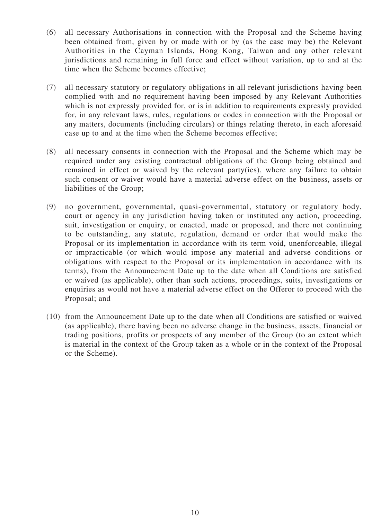- (6) all necessary Authorisations in connection with the Proposal and the Scheme having been obtained from, given by or made with or by (as the case may be) the Relevant Authorities in the Cayman Islands, Hong Kong, Taiwan and any other relevant jurisdictions and remaining in full force and effect without variation, up to and at the time when the Scheme becomes effective;
- (7) all necessary statutory or regulatory obligations in all relevant jurisdictions having been complied with and no requirement having been imposed by any Relevant Authorities which is not expressly provided for, or is in addition to requirements expressly provided for, in any relevant laws, rules, regulations or codes in connection with the Proposal or any matters, documents (including circulars) or things relating thereto, in each aforesaid case up to and at the time when the Scheme becomes effective;
- (8) all necessary consents in connection with the Proposal and the Scheme which may be required under any existing contractual obligations of the Group being obtained and remained in effect or waived by the relevant party(ies), where any failure to obtain such consent or waiver would have a material adverse effect on the business, assets or liabilities of the Group;
- (9) no government, governmental, quasi-governmental, statutory or regulatory body, court or agency in any jurisdiction having taken or instituted any action, proceeding, suit, investigation or enquiry, or enacted, made or proposed, and there not continuing to be outstanding, any statute, regulation, demand or order that would make the Proposal or its implementation in accordance with its term void, unenforceable, illegal or impracticable (or which would impose any material and adverse conditions or obligations with respect to the Proposal or its implementation in accordance with its terms), from the Announcement Date up to the date when all Conditions are satisfied or waived (as applicable), other than such actions, proceedings, suits, investigations or enquiries as would not have a material adverse effect on the Offeror to proceed with the Proposal; and
- (10) from the Announcement Date up to the date when all Conditions are satisfied or waived (as applicable), there having been no adverse change in the business, assets, financial or trading positions, profits or prospects of any member of the Group (to an extent which is material in the context of the Group taken as a whole or in the context of the Proposal or the Scheme).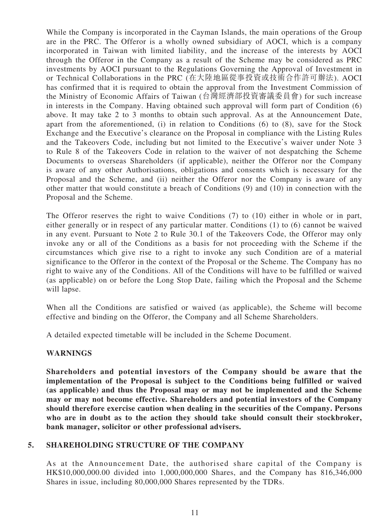While the Company is incorporated in the Cayman Islands, the main operations of the Group are in the PRC. The Offeror is a wholly owned subsidiary of AOCI, which is a company incorporated in Taiwan with limited liability, and the increase of the interests by AOCI through the Offeror in the Company as a result of the Scheme may be considered as PRC investments by AOCI pursuant to the Regulations Governing the Approval of Investment in or Technical Collaborations in the PRC (在大陸地區從事投資或技術合作許可辦法). AOCI has confirmed that it is required to obtain the approval from the Investment Commission of the Ministry of Economic Affairs of Taiwan (台灣經濟部投資審議委員會) for such increase in interests in the Company. Having obtained such approval will form part of Condition (6) above. It may take 2 to 3 months to obtain such approval. As at the Announcement Date, apart from the aforementioned, (i) in relation to Conditions (6) to (8), save for the Stock Exchange and the Executive's clearance on the Proposal in compliance with the Listing Rules and the Takeovers Code, including but not limited to the Executive's waiver under Note 3 to Rule 8 of the Takeovers Code in relation to the waiver of not despatching the Scheme Documents to overseas Shareholders (if applicable), neither the Offeror nor the Company is aware of any other Authorisations, obligations and consents which is necessary for the Proposal and the Scheme, and (ii) neither the Offeror nor the Company is aware of any other matter that would constitute a breach of Conditions (9) and (10) in connection with the Proposal and the Scheme.

The Offeror reserves the right to waive Conditions (7) to (10) either in whole or in part, either generally or in respect of any particular matter. Conditions (1) to (6) cannot be waived in any event. Pursuant to Note 2 to Rule 30.1 of the Takeovers Code, the Offeror may only invoke any or all of the Conditions as a basis for not proceeding with the Scheme if the circumstances which give rise to a right to invoke any such Condition are of a material significance to the Offeror in the context of the Proposal or the Scheme. The Company has no right to waive any of the Conditions. All of the Conditions will have to be fulfilled or waived (as applicable) on or before the Long Stop Date, failing which the Proposal and the Scheme will lapse.

When all the Conditions are satisfied or waived (as applicable), the Scheme will become effective and binding on the Offeror, the Company and all Scheme Shareholders.

A detailed expected timetable will be included in the Scheme Document.

#### **WARNINGS**

**Shareholders and potential investors of the Company should be aware that the implementation of the Proposal is subject to the Conditions being fulfilled or waived (as applicable) and thus the Proposal may or may not be implemented and the Scheme may or may not become effective. Shareholders and potential investors of the Company should therefore exercise caution when dealing in the securities of the Company. Persons who are in doubt as to the action they should take should consult their stockbroker, bank manager, solicitor or other professional advisers.**

#### **5. SHAREHOLDING STRUCTURE OF THE COMPANY**

As at the Announcement Date, the authorised share capital of the Company is HK\$10,000,000.00 divided into 1,000,000,000 Shares, and the Company has 816,346,000 Shares in issue, including 80,000,000 Shares represented by the TDRs.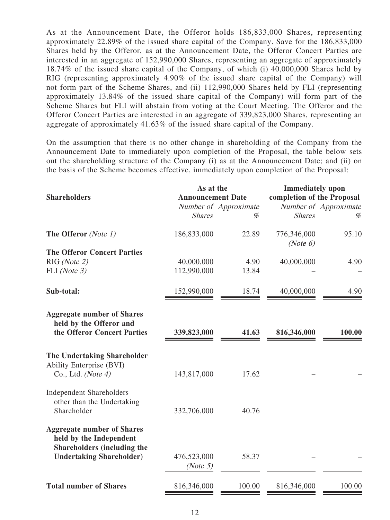As at the Announcement Date, the Offeror holds 186,833,000 Shares, representing approximately 22.89% of the issued share capital of the Company. Save for the 186,833,000 Shares held by the Offeror, as at the Announcement Date, the Offeror Concert Parties are interested in an aggregate of 152,990,000 Shares, representing an aggregate of approximately 18.74% of the issued share capital of the Company, of which (i) 40,000,000 Shares held by RIG (representing approximately 4.90% of the issued share capital of the Company) will not form part of the Scheme Shares, and (ii) 112,990,000 Shares held by FLI (representing approximately 13.84% of the issued share capital of the Company) will form part of the Scheme Shares but FLI will abstain from voting at the Court Meeting. The Offeror and the Offeror Concert Parties are interested in an aggregate of 339,823,000 Shares, representing an aggregate of approximately 41.63% of the issued share capital of the Company.

On the assumption that there is no other change in shareholding of the Company from the Announcement Date to immediately upon completion of the Proposal, the table below sets out the shareholding structure of the Company (i) as at the Announcement Date; and (ii) on the basis of the Scheme becomes effective, immediately upon completion of the Proposal:

| <b>Shareholders</b>                                                                                | As at the<br><b>Announcement Date</b><br>Number of Approximate |        | <b>Immediately</b> upon<br>completion of the Proposal<br>Number of Approximate |        |
|----------------------------------------------------------------------------------------------------|----------------------------------------------------------------|--------|--------------------------------------------------------------------------------|--------|
|                                                                                                    |                                                                |        |                                                                                |        |
|                                                                                                    | <b>Shares</b>                                                  | %      | <b>Shares</b>                                                                  | %      |
| The Offeror (Note 1)                                                                               | 186,833,000                                                    | 22.89  | 776,346,000<br>(Note 6)                                                        | 95.10  |
| <b>The Offeror Concert Parties</b>                                                                 |                                                                |        |                                                                                |        |
| RIG (Note 2)                                                                                       | 40,000,000                                                     | 4.90   | 40,000,000                                                                     | 4.90   |
| FLI (Note 3)                                                                                       | 112,990,000                                                    | 13.84  |                                                                                |        |
| Sub-total:                                                                                         | 152,990,000                                                    | 18.74  | 40,000,000                                                                     | 4.90   |
| <b>Aggregate number of Shares</b><br>held by the Offeror and<br>the Offeror Concert Parties        | 339,823,000                                                    | 41.63  | 816,346,000                                                                    | 100.00 |
| <b>The Undertaking Shareholder</b><br>Ability Enterprise (BVI)<br>Co., Ltd. (Note $4$ )            | 143,817,000                                                    | 17.62  |                                                                                |        |
| <b>Independent Shareholders</b><br>other than the Undertaking<br>Shareholder                       | 332,706,000                                                    | 40.76  |                                                                                |        |
| <b>Aggregate number of Shares</b><br>held by the Independent<br><b>Shareholders (including the</b> |                                                                |        |                                                                                |        |
| <b>Undertaking Shareholder)</b>                                                                    | 476,523,000<br>(Note 5)                                        | 58.37  |                                                                                |        |
| <b>Total number of Shares</b>                                                                      | 816,346,000                                                    | 100.00 | 816,346,000                                                                    | 100.00 |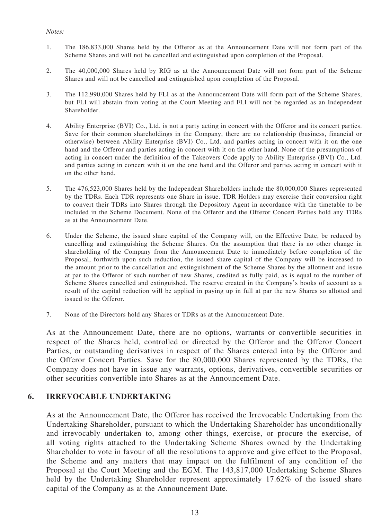#### Notes:

- 1. The 186,833,000 Shares held by the Offeror as at the Announcement Date will not form part of the Scheme Shares and will not be cancelled and extinguished upon completion of the Proposal.
- 2. The 40,000,000 Shares held by RIG as at the Announcement Date will not form part of the Scheme Shares and will not be cancelled and extinguished upon completion of the Proposal.
- 3. The 112,990,000 Shares held by FLI as at the Announcement Date will form part of the Scheme Shares, but FLI will abstain from voting at the Court Meeting and FLI will not be regarded as an Independent Shareholder.
- 4. Ability Enterprise (BVI) Co., Ltd. is not a party acting in concert with the Offeror and its concert parties. Save for their common shareholdings in the Company, there are no relationship (business, financial or otherwise) between Ability Enterprise (BVI) Co., Ltd. and parties acting in concert with it on the one hand and the Offeror and parties acting in concert with it on the other hand. None of the presumptions of acting in concert under the definition of the Takeovers Code apply to Ability Enterprise (BVI) Co., Ltd. and parties acting in concert with it on the one hand and the Offeror and parties acting in concert with it on the other hand.
- 5. The 476,523,000 Shares held by the Independent Shareholders include the 80,000,000 Shares represented by the TDRs. Each TDR represents one Share in issue. TDR Holders may exercise their conversion right to convert their TDRs into Shares through the Depository Agent in accordance with the timetable to be included in the Scheme Document. None of the Offeror and the Offeror Concert Parties hold any TDRs as at the Announcement Date.
- 6. Under the Scheme, the issued share capital of the Company will, on the Effective Date, be reduced by cancelling and extinguishing the Scheme Shares. On the assumption that there is no other change in shareholding of the Company from the Announcement Date to immediately before completion of the Proposal, forthwith upon such reduction, the issued share capital of the Company will be increased to the amount prior to the cancellation and extinguishment of the Scheme Shares by the allotment and issue at par to the Offeror of such number of new Shares, credited as fully paid, as is equal to the number of Scheme Shares cancelled and extinguished. The reserve created in the Company's books of account as a result of the capital reduction will be applied in paying up in full at par the new Shares so allotted and issued to the Offeror.
- 7. None of the Directors hold any Shares or TDRs as at the Announcement Date.

As at the Announcement Date, there are no options, warrants or convertible securities in respect of the Shares held, controlled or directed by the Offeror and the Offeror Concert Parties, or outstanding derivatives in respect of the Shares entered into by the Offeror and the Offeror Concert Parties. Save for the 80,000,000 Shares represented by the TDRs, the Company does not have in issue any warrants, options, derivatives, convertible securities or other securities convertible into Shares as at the Announcement Date.

#### **6. IRREVOCABLE UNDERTAKING**

As at the Announcement Date, the Offeror has received the Irrevocable Undertaking from the Undertaking Shareholder, pursuant to which the Undertaking Shareholder has unconditionally and irrevocably undertaken to, among other things, exercise, or procure the exercise, of all voting rights attached to the Undertaking Scheme Shares owned by the Undertaking Shareholder to vote in favour of all the resolutions to approve and give effect to the Proposal, the Scheme and any matters that may impact on the fulfilment of any condition of the Proposal at the Court Meeting and the EGM. The 143,817,000 Undertaking Scheme Shares held by the Undertaking Shareholder represent approximately 17.62% of the issued share capital of the Company as at the Announcement Date.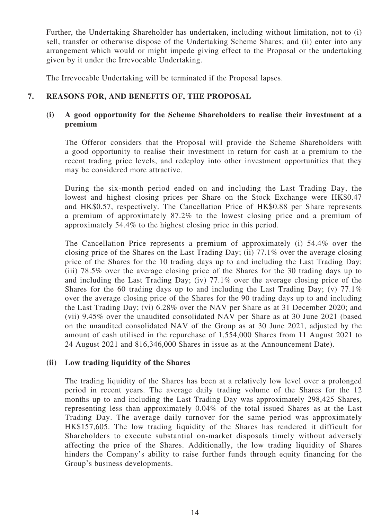Further, the Undertaking Shareholder has undertaken, including without limitation, not to (i) sell, transfer or otherwise dispose of the Undertaking Scheme Shares; and (ii) enter into any arrangement which would or might impede giving effect to the Proposal or the undertaking given by it under the Irrevocable Undertaking.

The Irrevocable Undertaking will be terminated if the Proposal lapses.

# **7. REASONS FOR, AND BENEFITS OF, THE PROPOSAL**

## **(i) A good opportunity for the Scheme Shareholders to realise their investment at a premium**

The Offeror considers that the Proposal will provide the Scheme Shareholders with a good opportunity to realise their investment in return for cash at a premium to the recent trading price levels, and redeploy into other investment opportunities that they may be considered more attractive.

During the six-month period ended on and including the Last Trading Day, the lowest and highest closing prices per Share on the Stock Exchange were HK\$0.47 and HK\$0.57, respectively. The Cancellation Price of HK\$0.88 per Share represents a premium of approximately 87.2% to the lowest closing price and a premium of approximately 54.4% to the highest closing price in this period.

The Cancellation Price represents a premium of approximately (i) 54.4% over the closing price of the Shares on the Last Trading Day; (ii) 77.1% over the average closing price of the Shares for the 10 trading days up to and including the Last Trading Day; (iii) 78.5% over the average closing price of the Shares for the 30 trading days up to and including the Last Trading Day; (iv) 77.1% over the average closing price of the Shares for the 60 trading days up to and including the Last Trading Day; (v)  $77.1\%$ over the average closing price of the Shares for the 90 trading days up to and including the Last Trading Day; (vi) 6.28% over the NAV per Share as at 31 December 2020; and (vii) 9.45% over the unaudited consolidated NAV per Share as at 30 June 2021 (based on the unaudited consolidated NAV of the Group as at 30 June 2021, adjusted by the amount of cash utilised in the repurchase of 1,554,000 Shares from 11 August 2021 to 24 August 2021 and 816,346,000 Shares in issue as at the Announcement Date).

#### **(ii) Low trading liquidity of the Shares**

The trading liquidity of the Shares has been at a relatively low level over a prolonged period in recent years. The average daily trading volume of the Shares for the 12 months up to and including the Last Trading Day was approximately 298,425 Shares, representing less than approximately 0.04% of the total issued Shares as at the Last Trading Day. The average daily turnover for the same period was approximately HK\$157,605. The low trading liquidity of the Shares has rendered it difficult for Shareholders to execute substantial on-market disposals timely without adversely affecting the price of the Shares. Additionally, the low trading liquidity of Shares hinders the Company's ability to raise further funds through equity financing for the Group's business developments.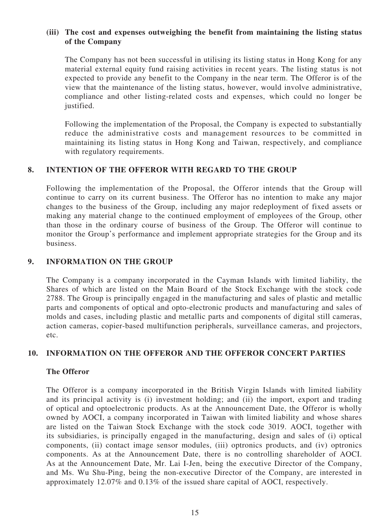## **(iii) The cost and expenses outweighing the benefit from maintaining the listing status of the Company**

The Company has not been successful in utilising its listing status in Hong Kong for any material external equity fund raising activities in recent years. The listing status is not expected to provide any benefit to the Company in the near term. The Offeror is of the view that the maintenance of the listing status, however, would involve administrative, compliance and other listing-related costs and expenses, which could no longer be justified.

Following the implementation of the Proposal, the Company is expected to substantially reduce the administrative costs and management resources to be committed in maintaining its listing status in Hong Kong and Taiwan, respectively, and compliance with regulatory requirements.

### **8. INTENTION OF THE OFFEROR WITH REGARD TO THE GROUP**

Following the implementation of the Proposal, the Offeror intends that the Group will continue to carry on its current business. The Offeror has no intention to make any major changes to the business of the Group, including any major redeployment of fixed assets or making any material change to the continued employment of employees of the Group, other than those in the ordinary course of business of the Group. The Offeror will continue to monitor the Group's performance and implement appropriate strategies for the Group and its business.

#### **9. INFORMATION ON THE GROUP**

The Company is a company incorporated in the Cayman Islands with limited liability, the Shares of which are listed on the Main Board of the Stock Exchange with the stock code 2788. The Group is principally engaged in the manufacturing and sales of plastic and metallic parts and components of optical and opto-electronic products and manufacturing and sales of molds and cases, including plastic and metallic parts and components of digital still cameras, action cameras, copier-based multifunction peripherals, surveillance cameras, and projectors, etc.

#### **10. INFORMATION ON THE OFFEROR AND THE OFFEROR CONCERT PARTIES**

#### **The Offeror**

The Offeror is a company incorporated in the British Virgin Islands with limited liability and its principal activity is (i) investment holding; and (ii) the import, export and trading of optical and optoelectronic products. As at the Announcement Date, the Offeror is wholly owned by AOCI, a company incorporated in Taiwan with limited liability and whose shares are listed on the Taiwan Stock Exchange with the stock code 3019. AOCI, together with its subsidiaries, is principally engaged in the manufacturing, design and sales of (i) optical components, (ii) contact image sensor modules, (iii) optronics products, and (iv) optronics components. As at the Announcement Date, there is no controlling shareholder of AOCI. As at the Announcement Date, Mr. Lai I-Jen, being the executive Director of the Company, and Ms. Wu Shu-Ping, being the non-executive Director of the Company, are interested in approximately 12.07% and 0.13% of the issued share capital of AOCI, respectively.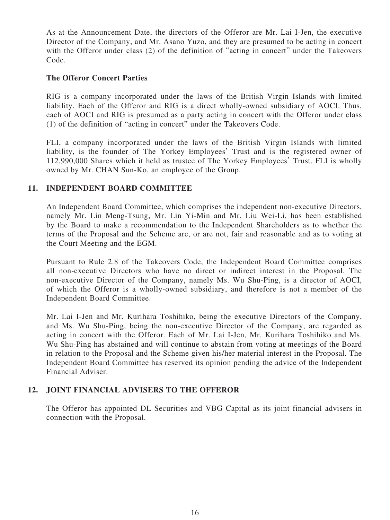As at the Announcement Date, the directors of the Offeror are Mr. Lai I-Jen, the executive Director of the Company, and Mr. Asano Yuzo, and they are presumed to be acting in concert with the Offeror under class (2) of the definition of "acting in concert" under the Takeovers Code.

## **The Offeror Concert Parties**

RIG is a company incorporated under the laws of the British Virgin Islands with limited liability. Each of the Offeror and RIG is a direct wholly-owned subsidiary of AOCI. Thus, each of AOCI and RIG is presumed as a party acting in concert with the Offeror under class (1) of the definition of "acting in concert" under the Takeovers Code.

FLI, a company incorporated under the laws of the British Virgin Islands with limited liability, is the founder of The Yorkey Employees' Trust and is the registered owner of 112,990,000 Shares which it held as trustee of The Yorkey Employees' Trust. FLI is wholly owned by Mr. CHAN Sun-Ko, an employee of the Group.

### **11. INDEPENDENT BOARD COMMITTEE**

An Independent Board Committee, which comprises the independent non-executive Directors, namely Mr. Lin Meng-Tsung, Mr. Lin Yi-Min and Mr. Liu Wei-Li, has been established by the Board to make a recommendation to the Independent Shareholders as to whether the terms of the Proposal and the Scheme are, or are not, fair and reasonable and as to voting at the Court Meeting and the EGM.

Pursuant to Rule 2.8 of the Takeovers Code, the Independent Board Committee comprises all non-executive Directors who have no direct or indirect interest in the Proposal. The non-executive Director of the Company, namely Ms. Wu Shu-Ping, is a director of AOCI, of which the Offeror is a wholly-owned subsidiary, and therefore is not a member of the Independent Board Committee.

Mr. Lai I-Jen and Mr. Kurihara Toshihiko, being the executive Directors of the Company, and Ms. Wu Shu-Ping, being the non-executive Director of the Company, are regarded as acting in concert with the Offeror. Each of Mr. Lai I-Jen, Mr. Kurihara Toshihiko and Ms. Wu Shu-Ping has abstained and will continue to abstain from voting at meetings of the Board in relation to the Proposal and the Scheme given his/her material interest in the Proposal. The Independent Board Committee has reserved its opinion pending the advice of the Independent Financial Adviser.

## **12. JOINT FINANCIAL ADVISERS TO THE OFFEROR**

The Offeror has appointed DL Securities and VBG Capital as its joint financial advisers in connection with the Proposal.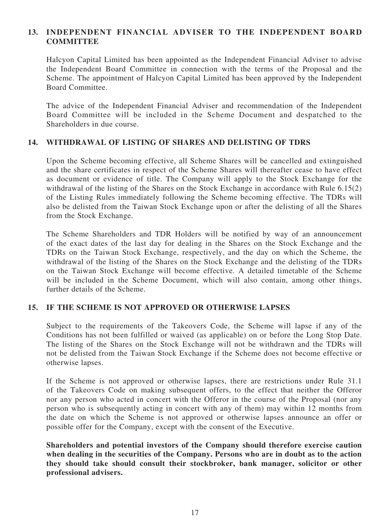## **13. INDEPENDENT FINANCIAL ADVISER TO THE INDEPENDENT BOARD COMMITTEE**

Halcyon Capital Limited has been appointed as the Independent Financial Adviser to advise the Independent Board Committee in connection with the terms of the Proposal and the Scheme. The appointment of Halcyon Capital Limited has been approved by the Independent Board Committee.

The advice of the Independent Financial Adviser and recommendation of the Independent Board Committee will be included in the Scheme Document and despatched to the Shareholders in due course.

### **14. WITHDRAWAL OF LISTING OF SHARES AND DELISTING OF TDRS**

Upon the Scheme becoming effective, all Scheme Shares will be cancelled and extinguished and the share certificates in respect of the Scheme Shares will thereafter cease to have effect as document or evidence of title. The Company will apply to the Stock Exchange for the withdrawal of the listing of the Shares on the Stock Exchange in accordance with Rule 6.15(2) of the Listing Rules immediately following the Scheme becoming effective. The TDRs will also be delisted from the Taiwan Stock Exchange upon or after the delisting of all the Shares from the Stock Exchange.

The Scheme Shareholders and TDR Holders will be notified by way of an announcement of the exact dates of the last day for dealing in the Shares on the Stock Exchange and the TDRs on the Taiwan Stock Exchange, respectively, and the day on which the Scheme, the withdrawal of the listing of the Shares on the Stock Exchange and the delisting of the TDRs on the Taiwan Stock Exchange will become effective. A detailed timetable of the Scheme will be included in the Scheme Document, which will also contain, among other things, further details of the Scheme.

#### **15. IF THE SCHEME IS NOT APPROVED OR OTHERWISE LAPSES**

Subject to the requirements of the Takeovers Code, the Scheme will lapse if any of the Conditions has not been fulfilled or waived (as applicable) on or before the Long Stop Date. The listing of the Shares on the Stock Exchange will not be withdrawn and the TDRs will not be delisted from the Taiwan Stock Exchange if the Scheme does not become effective or otherwise lapses.

If the Scheme is not approved or otherwise lapses, there are restrictions under Rule 31.1 of the Takeovers Code on making subsequent offers, to the effect that neither the Offeror nor any person who acted in concert with the Offeror in the course of the Proposal (nor any person who is subsequently acting in concert with any of them) may within 12 months from the date on which the Scheme is not approved or otherwise lapses announce an offer or possible offer for the Company, except with the consent of the Executive.

**Shareholders and potential investors of the Company should therefore exercise caution when dealing in the securities of the Company. Persons who are in doubt as to the action they should take should consult their stockbroker, bank manager, solicitor or other professional advisers.**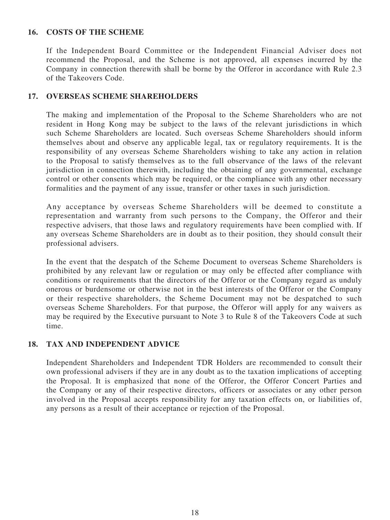### **16. COSTS OF THE SCHEME**

If the Independent Board Committee or the Independent Financial Adviser does not recommend the Proposal, and the Scheme is not approved, all expenses incurred by the Company in connection therewith shall be borne by the Offeror in accordance with Rule 2.3 of the Takeovers Code.

### **17. OVERSEAS SCHEME SHAREHOLDERS**

The making and implementation of the Proposal to the Scheme Shareholders who are not resident in Hong Kong may be subject to the laws of the relevant jurisdictions in which such Scheme Shareholders are located. Such overseas Scheme Shareholders should inform themselves about and observe any applicable legal, tax or regulatory requirements. It is the responsibility of any overseas Scheme Shareholders wishing to take any action in relation to the Proposal to satisfy themselves as to the full observance of the laws of the relevant jurisdiction in connection therewith, including the obtaining of any governmental, exchange control or other consents which may be required, or the compliance with any other necessary formalities and the payment of any issue, transfer or other taxes in such jurisdiction.

Any acceptance by overseas Scheme Shareholders will be deemed to constitute a representation and warranty from such persons to the Company, the Offeror and their respective advisers, that those laws and regulatory requirements have been complied with. If any overseas Scheme Shareholders are in doubt as to their position, they should consult their professional advisers.

In the event that the despatch of the Scheme Document to overseas Scheme Shareholders is prohibited by any relevant law or regulation or may only be effected after compliance with conditions or requirements that the directors of the Offeror or the Company regard as unduly onerous or burdensome or otherwise not in the best interests of the Offeror or the Company or their respective shareholders, the Scheme Document may not be despatched to such overseas Scheme Shareholders. For that purpose, the Offeror will apply for any waivers as may be required by the Executive pursuant to Note 3 to Rule 8 of the Takeovers Code at such time.

## **18. TAX AND INDEPENDENT ADVICE**

Independent Shareholders and Independent TDR Holders are recommended to consult their own professional advisers if they are in any doubt as to the taxation implications of accepting the Proposal. It is emphasized that none of the Offeror, the Offeror Concert Parties and the Company or any of their respective directors, officers or associates or any other person involved in the Proposal accepts responsibility for any taxation effects on, or liabilities of, any persons as a result of their acceptance or rejection of the Proposal.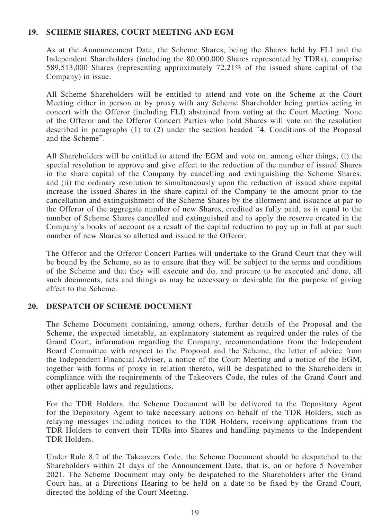### **19. SCHEME SHARES, COURT MEETING AND EGM**

As at the Announcement Date, the Scheme Shares, being the Shares held by FLI and the Independent Shareholders (including the 80,000,000 Shares represented by TDRs), comprise 589,513,000 Shares (representing approximately 72.21% of the issued share capital of the Company) in issue.

All Scheme Shareholders will be entitled to attend and vote on the Scheme at the Court Meeting either in person or by proxy with any Scheme Shareholder being parties acting in concert with the Offeror (including FLI) abstained from voting at the Court Meeting. None of the Offeror and the Offeror Concert Parties who hold Shares will vote on the resolution described in paragraphs (1) to (2) under the section headed "4. Conditions of the Proposal and the Scheme".

All Shareholders will be entitled to attend the EGM and vote on, among other things, (i) the special resolution to approve and give effect to the reduction of the number of issued Shares in the share capital of the Company by cancelling and extinguishing the Scheme Shares; and (ii) the ordinary resolution to simultaneously upon the reduction of issued share capital increase the issued Shares in the share capital of the Company to the amount prior to the cancellation and extinguishment of the Scheme Shares by the allotment and issuance at par to the Offeror of the aggregate number of new Shares, credited as fully paid, as is equal to the number of Scheme Shares cancelled and extinguished and to apply the reserve created in the Company's books of account as a result of the capital reduction to pay up in full at par such number of new Shares so allotted and issued to the Offeror.

The Offeror and the Offeror Concert Parties will undertake to the Grand Court that they will be bound by the Scheme, so as to ensure that they will be subject to the terms and conditions of the Scheme and that they will execute and do, and procure to be executed and done, all such documents, acts and things as may be necessary or desirable for the purpose of giving effect to the Scheme.

## **20. DESPATCH OF SCHEME DOCUMENT**

The Scheme Document containing, among others, further details of the Proposal and the Scheme, the expected timetable, an explanatory statement as required under the rules of the Grand Court, information regarding the Company, recommendations from the Independent Board Committee with respect to the Proposal and the Scheme, the letter of advice from the Independent Financial Adviser, a notice of the Court Meeting and a notice of the EGM, together with forms of proxy in relation thereto, will be despatched to the Shareholders in compliance with the requirements of the Takeovers Code, the rules of the Grand Court and other applicable laws and regulations.

For the TDR Holders, the Scheme Document will be delivered to the Depository Agent for the Depository Agent to take necessary actions on behalf of the TDR Holders, such as relaying messages including notices to the TDR Holders, receiving applications from the TDR Holders to convert their TDRs into Shares and handling payments to the Independent TDR Holders.

Under Rule 8.2 of the Takeovers Code, the Scheme Document should be despatched to the Shareholders within 21 days of the Announcement Date, that is, on or before 5 November 2021. The Scheme Document may only be despatched to the Shareholders after the Grand Court has, at a Directions Hearing to be held on a date to be fixed by the Grand Court, directed the holding of the Court Meeting.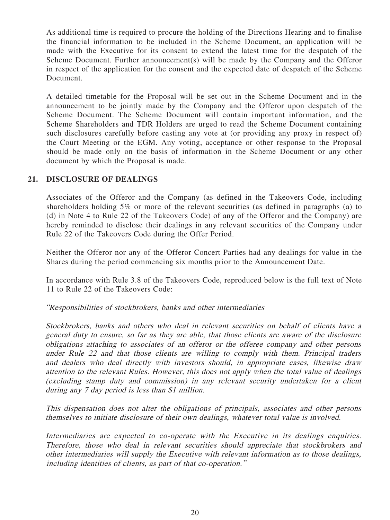As additional time is required to procure the holding of the Directions Hearing and to finalise the financial information to be included in the Scheme Document, an application will be made with the Executive for its consent to extend the latest time for the despatch of the Scheme Document. Further announcement(s) will be made by the Company and the Offeror in respect of the application for the consent and the expected date of despatch of the Scheme Document.

A detailed timetable for the Proposal will be set out in the Scheme Document and in the announcement to be jointly made by the Company and the Offeror upon despatch of the Scheme Document. The Scheme Document will contain important information, and the Scheme Shareholders and TDR Holders are urged to read the Scheme Document containing such disclosures carefully before casting any vote at (or providing any proxy in respect of) the Court Meeting or the EGM. Any voting, acceptance or other response to the Proposal should be made only on the basis of information in the Scheme Document or any other document by which the Proposal is made.

## **21. DISCLOSURE OF DEALINGS**

Associates of the Offeror and the Company (as defined in the Takeovers Code, including shareholders holding 5% or more of the relevant securities (as defined in paragraphs (a) to (d) in Note 4 to Rule 22 of the Takeovers Code) of any of the Offeror and the Company) are hereby reminded to disclose their dealings in any relevant securities of the Company under Rule 22 of the Takeovers Code during the Offer Period.

Neither the Offeror nor any of the Offeror Concert Parties had any dealings for value in the Shares during the period commencing six months prior to the Announcement Date.

In accordance with Rule 3.8 of the Takeovers Code, reproduced below is the full text of Note 11 to Rule 22 of the Takeovers Code:

"Responsibilities of stockbrokers, banks and other intermediaries

Stockbrokers, banks and others who deal in relevant securities on behalf of clients have a general duty to ensure, so far as they are able, that those clients are aware of the disclosure obligations attaching to associates of an offeror or the offeree company and other persons under Rule 22 and that those clients are willing to comply with them. Principal traders and dealers who deal directly with investors should, in appropriate cases, likewise draw attention to the relevant Rules. However, this does not apply when the total value of dealings (excluding stamp duty and commission) in any relevant security undertaken for a client during any 7 day period is less than \$1 million.

This dispensation does not alter the obligations of principals, associates and other persons themselves to initiate disclosure of their own dealings, whatever total value is involved.

Intermediaries are expected to co-operate with the Executive in its dealings enquiries. Therefore, those who deal in relevant securities should appreciate that stockbrokers and other intermediaries will supply the Executive with relevant information as to those dealings, including identities of clients, as part of that co-operation."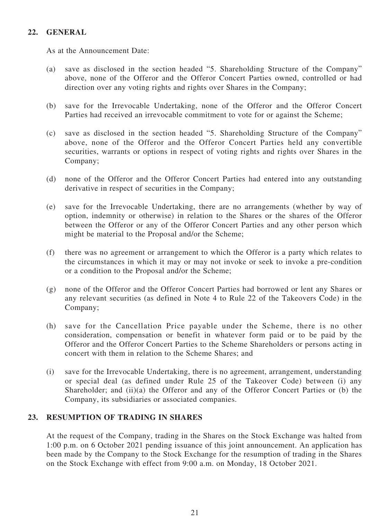## **22. GENERAL**

As at the Announcement Date:

- (a) save as disclosed in the section headed "5. Shareholding Structure of the Company" above, none of the Offeror and the Offeror Concert Parties owned, controlled or had direction over any voting rights and rights over Shares in the Company;
- (b) save for the Irrevocable Undertaking, none of the Offeror and the Offeror Concert Parties had received an irrevocable commitment to vote for or against the Scheme;
- (c) save as disclosed in the section headed "5. Shareholding Structure of the Company" above, none of the Offeror and the Offeror Concert Parties held any convertible securities, warrants or options in respect of voting rights and rights over Shares in the Company;
- (d) none of the Offeror and the Offeror Concert Parties had entered into any outstanding derivative in respect of securities in the Company;
- (e) save for the Irrevocable Undertaking, there are no arrangements (whether by way of option, indemnity or otherwise) in relation to the Shares or the shares of the Offeror between the Offeror or any of the Offeror Concert Parties and any other person which might be material to the Proposal and/or the Scheme;
- (f) there was no agreement or arrangement to which the Offeror is a party which relates to the circumstances in which it may or may not invoke or seek to invoke a pre-condition or a condition to the Proposal and/or the Scheme;
- (g) none of the Offeror and the Offeror Concert Parties had borrowed or lent any Shares or any relevant securities (as defined in Note 4 to Rule 22 of the Takeovers Code) in the Company;
- (h) save for the Cancellation Price payable under the Scheme, there is no other consideration, compensation or benefit in whatever form paid or to be paid by the Offeror and the Offeror Concert Parties to the Scheme Shareholders or persons acting in concert with them in relation to the Scheme Shares; and
- (i) save for the Irrevocable Undertaking, there is no agreement, arrangement, understanding or special deal (as defined under Rule 25 of the Takeover Code) between (i) any Shareholder; and (ii)(a) the Offeror and any of the Offeror Concert Parties or (b) the Company, its subsidiaries or associated companies.

## **23. RESUMPTION OF TRADING IN SHARES**

At the request of the Company, trading in the Shares on the Stock Exchange was halted from 1:00 p.m. on 6 October 2021 pending issuance of this joint announcement. An application has been made by the Company to the Stock Exchange for the resumption of trading in the Shares on the Stock Exchange with effect from 9:00 a.m. on Monday, 18 October 2021.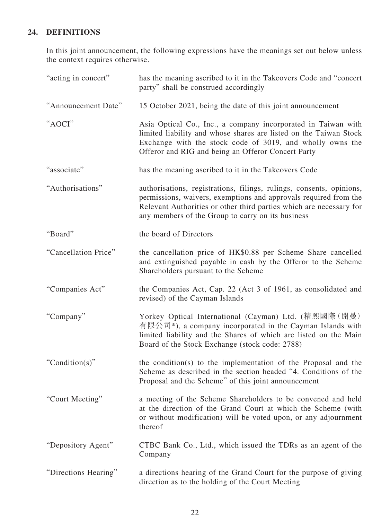# **24. DEFINITIONS**

In this joint announcement, the following expressions have the meanings set out below unless the context requires otherwise.

| "acting in concert"  | has the meaning ascribed to it in the Takeovers Code and "concert"<br>party" shall be construed accordingly                                                                                                                                                          |
|----------------------|----------------------------------------------------------------------------------------------------------------------------------------------------------------------------------------------------------------------------------------------------------------------|
| "Announcement Date"  | 15 October 2021, being the date of this joint announcement                                                                                                                                                                                                           |
| "AOCI"               | Asia Optical Co., Inc., a company incorporated in Taiwan with<br>limited liability and whose shares are listed on the Taiwan Stock<br>Exchange with the stock code of 3019, and wholly owns the<br>Offeror and RIG and being an Offeror Concert Party                |
| "associate"          | has the meaning ascribed to it in the Takeovers Code                                                                                                                                                                                                                 |
| "Authorisations"     | authorisations, registrations, filings, rulings, consents, opinions,<br>permissions, waivers, exemptions and approvals required from the<br>Relevant Authorities or other third parties which are necessary for<br>any members of the Group to carry on its business |
| "Board"              | the board of Directors                                                                                                                                                                                                                                               |
| "Cancellation Price" | the cancellation price of HK\$0.88 per Scheme Share cancelled<br>and extinguished payable in cash by the Offeror to the Scheme<br>Shareholders pursuant to the Scheme                                                                                                |
| "Companies Act"      | the Companies Act, Cap. 22 (Act 3 of 1961, as consolidated and<br>revised) of the Cayman Islands                                                                                                                                                                     |
| "Company"            | Yorkey Optical International (Cayman) Ltd. (精熙國際 (開曼)<br>有限公司*), a company incorporated in the Cayman Islands with<br>limited liability and the Shares of which are listed on the Main<br>Board of the Stock Exchange (stock code: 2788)                             |
| "Condition(s)"       | the condition(s) to the implementation of the Proposal and the<br>Scheme as described in the section headed "4. Conditions of the<br>Proposal and the Scheme" of this joint announcement                                                                             |
| "Court Meeting"      | a meeting of the Scheme Shareholders to be convened and held<br>at the direction of the Grand Court at which the Scheme (with<br>or without modification) will be voted upon, or any adjournment<br>thereof                                                          |
| "Depository Agent"   | CTBC Bank Co., Ltd., which issued the TDRs as an agent of the<br>Company                                                                                                                                                                                             |
| "Directions Hearing" | a directions hearing of the Grand Court for the purpose of giving<br>direction as to the holding of the Court Meeting                                                                                                                                                |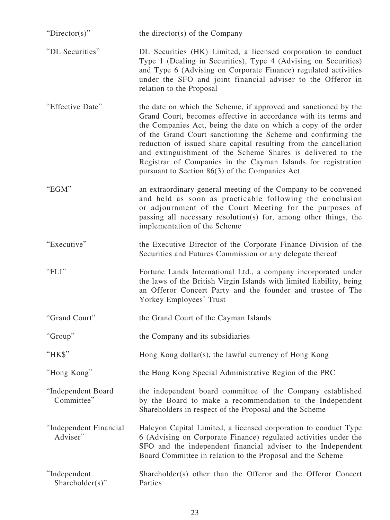| " $Directory$ "                    | the director(s) of the Company                                                                                                                                                                                                                                                                                                                                                                                                                                                                                              |
|------------------------------------|-----------------------------------------------------------------------------------------------------------------------------------------------------------------------------------------------------------------------------------------------------------------------------------------------------------------------------------------------------------------------------------------------------------------------------------------------------------------------------------------------------------------------------|
| "DL Securities"                    | DL Securities (HK) Limited, a licensed corporation to conduct<br>Type 1 (Dealing in Securities), Type 4 (Advising on Securities)<br>and Type 6 (Advising on Corporate Finance) regulated activities<br>under the SFO and joint financial adviser to the Offeror in<br>relation to the Proposal                                                                                                                                                                                                                              |
| "Effective Date"                   | the date on which the Scheme, if approved and sanctioned by the<br>Grand Court, becomes effective in accordance with its terms and<br>the Companies Act, being the date on which a copy of the order<br>of the Grand Court sanctioning the Scheme and confirming the<br>reduction of issued share capital resulting from the cancellation<br>and extinguishment of the Scheme Shares is delivered to the<br>Registrar of Companies in the Cayman Islands for registration<br>pursuant to Section 86(3) of the Companies Act |
| " $EGM"$                           | an extraordinary general meeting of the Company to be convened<br>and held as soon as practicable following the conclusion<br>or adjournment of the Court Meeting for the purposes of<br>passing all necessary resolution(s) for, among other things, the<br>implementation of the Scheme                                                                                                                                                                                                                                   |
| "Executive"                        | the Executive Director of the Corporate Finance Division of the<br>Securities and Futures Commission or any delegate thereof                                                                                                                                                                                                                                                                                                                                                                                                |
| "FLI"                              | Fortune Lands International Ltd., a company incorporated under<br>the laws of the British Virgin Islands with limited liability, being<br>an Offeror Concert Party and the founder and trustee of The<br>Yorkey Employees' Trust                                                                                                                                                                                                                                                                                            |
| "Grand Court"                      | the Grand Court of the Cayman Islands                                                                                                                                                                                                                                                                                                                                                                                                                                                                                       |
| "Group"                            | the Company and its subsidiaries                                                                                                                                                                                                                                                                                                                                                                                                                                                                                            |
| "HK\$"                             | Hong Kong dollar(s), the lawful currency of Hong Kong                                                                                                                                                                                                                                                                                                                                                                                                                                                                       |
| "Hong Kong"                        | the Hong Kong Special Administrative Region of the PRC                                                                                                                                                                                                                                                                                                                                                                                                                                                                      |
| "Independent Board<br>Committee"   | the independent board committee of the Company established<br>by the Board to make a recommendation to the Independent<br>Shareholders in respect of the Proposal and the Scheme                                                                                                                                                                                                                                                                                                                                            |
| "Independent Financial<br>Adviser" | Halcyon Capital Limited, a licensed corporation to conduct Type<br>6 (Advising on Corporate Finance) regulated activities under the<br>SFO and the independent financial adviser to the Independent<br>Board Committee in relation to the Proposal and the Scheme                                                                                                                                                                                                                                                           |
| "Independent"<br>Shareholder(s)"   | Shareholder(s) other than the Offeror and the Offeror Concert<br>Parties                                                                                                                                                                                                                                                                                                                                                                                                                                                    |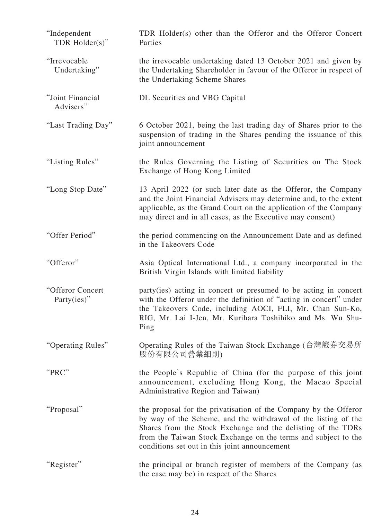| "Independent<br>TDR $Holder(s)$ "   | TDR Holder(s) other than the Offeror and the Offeror Concert<br>Parties                                                                                                                                                                                                                                               |
|-------------------------------------|-----------------------------------------------------------------------------------------------------------------------------------------------------------------------------------------------------------------------------------------------------------------------------------------------------------------------|
| "Irrevocable<br>Undertaking"        | the irrevocable undertaking dated 13 October 2021 and given by<br>the Undertaking Shareholder in favour of the Offeror in respect of<br>the Undertaking Scheme Shares                                                                                                                                                 |
| "Joint Financial<br>Advisers"       | DL Securities and VBG Capital                                                                                                                                                                                                                                                                                         |
| "Last Trading Day"                  | 6 October 2021, being the last trading day of Shares prior to the<br>suspension of trading in the Shares pending the issuance of this<br>joint announcement                                                                                                                                                           |
| "Listing Rules"                     | the Rules Governing the Listing of Securities on The Stock<br>Exchange of Hong Kong Limited                                                                                                                                                                                                                           |
| "Long Stop Date"                    | 13 April 2022 (or such later date as the Offeror, the Company<br>and the Joint Financial Advisers may determine and, to the extent<br>applicable, as the Grand Court on the application of the Company<br>may direct and in all cases, as the Executive may consent)                                                  |
| "Offer Period"                      | the period commencing on the Announcement Date and as defined<br>in the Takeovers Code                                                                                                                                                                                                                                |
| "Offeror"                           | Asia Optical International Ltd., a company incorporated in the<br>British Virgin Islands with limited liability                                                                                                                                                                                                       |
| "Offeror Concert<br>Party $(ies)$ " | party (ies) acting in concert or presumed to be acting in concert<br>with the Offeror under the definition of "acting in concert" under<br>the Takeovers Code, including AOCI, FLI, Mr. Chan Sun-Ko,<br>RIG, Mr. Lai I-Jen, Mr. Kurihara Toshihiko and Ms. Wu Shu-<br>Ping                                            |
| "Operating Rules"                   | Operating Rules of the Taiwan Stock Exchange (台灣證券交易所<br>股份有限公司營業細則)                                                                                                                                                                                                                                                  |
| "PRC"                               | the People's Republic of China (for the purpose of this joint<br>announcement, excluding Hong Kong, the Macao Special<br>Administrative Region and Taiwan)                                                                                                                                                            |
| "Proposal"                          | the proposal for the privatisation of the Company by the Offeror<br>by way of the Scheme, and the withdrawal of the listing of the<br>Shares from the Stock Exchange and the delisting of the TDRs<br>from the Taiwan Stock Exchange on the terms and subject to the<br>conditions set out in this joint announcement |
| "Register"                          | the principal or branch register of members of the Company (as<br>the case may be) in respect of the Shares                                                                                                                                                                                                           |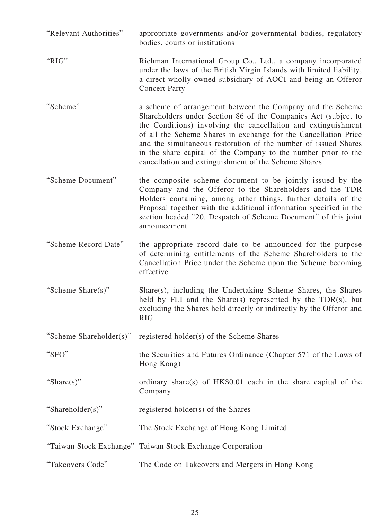| "Relevant Authorities"  | appropriate governments and/or governmental bodies, regulatory<br>bodies, courts or institutions                                                                                                                                                                                                                                                                                                                                                              |
|-------------------------|---------------------------------------------------------------------------------------------------------------------------------------------------------------------------------------------------------------------------------------------------------------------------------------------------------------------------------------------------------------------------------------------------------------------------------------------------------------|
| "RIG"                   | Richman International Group Co., Ltd., a company incorporated<br>under the laws of the British Virgin Islands with limited liability,<br>a direct wholly-owned subsidiary of AOCI and being an Offeror<br><b>Concert Party</b>                                                                                                                                                                                                                                |
| "Scheme"                | a scheme of arrangement between the Company and the Scheme<br>Shareholders under Section 86 of the Companies Act (subject to<br>the Conditions) involving the cancellation and extinguishment<br>of all the Scheme Shares in exchange for the Cancellation Price<br>and the simultaneous restoration of the number of issued Shares<br>in the share capital of the Company to the number prior to the<br>cancellation and extinguishment of the Scheme Shares |
| "Scheme Document"       | the composite scheme document to be jointly issued by the<br>Company and the Offeror to the Shareholders and the TDR<br>Holders containing, among other things, further details of the<br>Proposal together with the additional information specified in the<br>section headed "20. Despatch of Scheme Document" of this joint<br>announcement                                                                                                                |
| "Scheme Record Date"    | the appropriate record date to be announced for the purpose<br>of determining entitlements of the Scheme Shareholders to the<br>Cancellation Price under the Scheme upon the Scheme becoming<br>effective                                                                                                                                                                                                                                                     |
| "Scheme Share(s)"       | Share(s), including the Undertaking Scheme Shares, the Shares<br>held by FLI and the Share(s) represented by the TDR(s), but<br>excluding the Shares held directly or indirectly by the Offeror and<br><b>RIG</b>                                                                                                                                                                                                                                             |
| "Scheme Shareholder(s)" | registered holder(s) of the Scheme Shares                                                                                                                                                                                                                                                                                                                                                                                                                     |
| "SFO"                   | the Securities and Futures Ordinance (Chapter 571 of the Laws of<br>Hong Kong)                                                                                                                                                                                                                                                                                                                                                                                |
| "Share(s)"              | ordinary share(s) of HK\$0.01 each in the share capital of the<br>Company                                                                                                                                                                                                                                                                                                                                                                                     |
| "Shareholder(s)"        | registered holder(s) of the Shares                                                                                                                                                                                                                                                                                                                                                                                                                            |
| "Stock Exchange"        | The Stock Exchange of Hong Kong Limited                                                                                                                                                                                                                                                                                                                                                                                                                       |
|                         | "Taiwan Stock Exchange" Taiwan Stock Exchange Corporation                                                                                                                                                                                                                                                                                                                                                                                                     |
| "Takeovers Code"        | The Code on Takeovers and Mergers in Hong Kong                                                                                                                                                                                                                                                                                                                                                                                                                |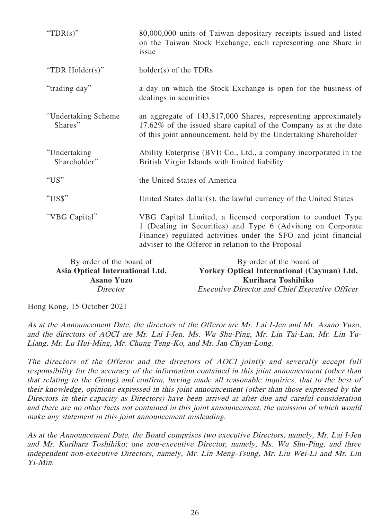| "TDR $(s)$ "                    | 80,000,000 units of Taiwan depositary receipts issued and listed<br>on the Taiwan Stock Exchange, each representing one Share in<br>issue                                                                                                           |
|---------------------------------|-----------------------------------------------------------------------------------------------------------------------------------------------------------------------------------------------------------------------------------------------------|
| "TDR Holder(s)"                 | $holder(s)$ of the TDRs                                                                                                                                                                                                                             |
| "trading day"                   | a day on which the Stock Exchange is open for the business of<br>dealings in securities                                                                                                                                                             |
| "Undertaking Scheme"<br>Shares" | an aggregate of 143,817,000 Shares, representing approximately<br>17.62% of the issued share capital of the Company as at the date<br>of this joint announcement, held by the Undertaking Shareholder                                               |
| "Undertaking<br>Shareholder"    | Ability Enterprise (BVI) Co., Ltd., a company incorporated in the<br>British Virgin Islands with limited liability                                                                                                                                  |
| "US"                            | the United States of America                                                                                                                                                                                                                        |
| "US\$"                          | United States dollar(s), the lawful currency of the United States                                                                                                                                                                                   |
| "VBG Capital"                   | VBG Capital Limited, a licensed corporation to conduct Type<br>1 (Dealing in Securities) and Type 6 (Advising on Corporate<br>Finance) regulated activities under the SFO and joint financial<br>adviser to the Offeror in relation to the Proposal |

| By order of the board of        | By order of the board of                              |
|---------------------------------|-------------------------------------------------------|
| Asia Optical International Ltd. | <b>Yorkey Optical International (Cayman) Ltd.</b>     |
| <b>Asano Yuzo</b>               | Kurihara Toshihiko                                    |
| Director                        | <i>Executive Director and Chief Executive Officer</i> |

Hong Kong, 15 October 2021

As at the Announcement Date, the directors of the Offeror are Mr. Lai I-Jen and Mr. Asano Yuzo, and the directors of AOCI are Mr. Lai I-Jen, Ms. Wu Shu-Ping, Mr. Lin Tai-Lan, Mr. Lin Yu-Liang, Mr. Lu Hui-Ming, Mr. Chung Teng-Ko, and Mr. Jan Chyan-Long.

The directors of the Offeror and the directors of AOCI jointly and severally accept full responsibility for the accuracy of the information contained in this joint announcement (other than that relating to the Group) and confirm, having made all reasonable inquiries, that to the best of their knowledge, opinions expressed in this joint announcement (other than those expressed by the Directors in their capacity as Directors) have been arrived at after due and careful consideration and there are no other facts not contained in this joint announcement, the omission of which would make any statement in this joint announcement misleading.

As at the Announcement Date, the Board comprises two executive Directors, namely, Mr. Lai I-Jen and Mr. Kurihara Toshihiko; one non-executive Director, namely, Ms. Wu Shu-Ping, and three independent non-executive Directors, namely, Mr. Lin Meng-Tsung, Mr. Liu Wei-Li and Mr. Lin Yi-Min.